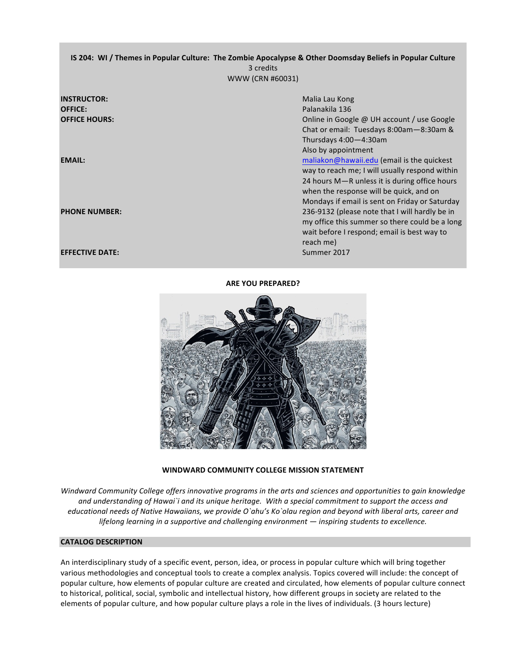# **IS 204: WI** / Themes in Popular Culture: The Zombie Apocalypse & Other Doomsday Beliefs in Popular Culture 3 credits WWW (CRN #60031)

| <b>INSTRUCTOR:</b><br><b>OFFICE:</b><br><b>OFFICE HOURS:</b> | Malia Lau Kong<br>Palanakila 136<br>Online in Google @ UH account / use Google<br>Chat or email: Tuesdays 8:00am-8:30am &<br>Thursdays 4:00-4:30am                                                              |
|--------------------------------------------------------------|-----------------------------------------------------------------------------------------------------------------------------------------------------------------------------------------------------------------|
| <b>EMAIL:</b>                                                | Also by appointment<br>maliakon@hawaii.edu (email is the quickest<br>way to reach me; I will usually respond within<br>24 hours M-R unless it is during office hours<br>when the response will be quick, and on |
| <b>PHONE NUMBER:</b>                                         | Mondays if email is sent on Friday or Saturday<br>236-9132 (please note that I will hardly be in<br>my office this summer so there could be a long<br>wait before I respond; email is best way to<br>reach me)  |
| <b>EFFECTIVE DATE:</b>                                       | Summer 2017                                                                                                                                                                                                     |

## **ARE YOU PREPARED?**



WINDWARD COMMUNITY COLLEGE MISSION STATEMENT

*Windward Community College offers innovative programs in the arts and sciences and opportunities to gain knowledge* and understanding of Hawai`i and its unique heritage. With a special commitment to support the access and educational needs of Native Hawaiians, we provide O`ahu's Ko`olau region and beyond with liberal arts, career and lifelong learning in a supportive and challenging environment  $-$  inspiring students to excellence.

## **CATALOG DESCRIPTION**

An interdisciplinary study of a specific event, person, idea, or process in popular culture which will bring together various methodologies and conceptual tools to create a complex analysis. Topics covered will include: the concept of popular culture, how elements of popular culture are created and circulated, how elements of popular culture connect to historical, political, social, symbolic and intellectual history, how different groups in society are related to the elements of popular culture, and how popular culture plays a role in the lives of individuals. (3 hours lecture)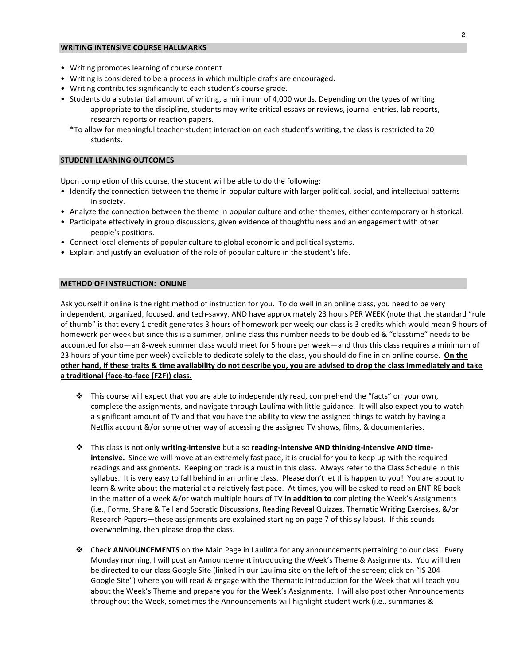## **WRITING INTENSIVE COURSE HALLMARKS**

- Writing promotes learning of course content.
- Writing is considered to be a process in which multiple drafts are encouraged.
- Writing contributes significantly to each student's course grade.
- Students do a substantial amount of writing, a minimum of 4,000 words. Depending on the types of writing appropriate to the discipline, students may write critical essays or reviews, journal entries, lab reports, research reports or reaction papers.
	- \*To allow for meaningful teacher-student interaction on each student's writing, the class is restricted to 20 students.

#### **STUDENT LEARNING OUTCOMES**

Upon completion of this course, the student will be able to do the following:

- Identify the connection between the theme in popular culture with larger political, social, and intellectual patterns in society.
- Analyze the connection between the theme in popular culture and other themes, either contemporary or historical.
- Participate effectively in group discussions, given evidence of thoughtfulness and an engagement with other people's positions.
- Connect local elements of popular culture to global economic and political systems.
- Explain and justify an evaluation of the role of popular culture in the student's life.

#### **METHOD OF INSTRUCTION: ONLINE**

Ask yourself if online is the right method of instruction for you. To do well in an online class, you need to be very independent, organized, focused, and tech-savvy, AND have approximately 23 hours PER WEEK (note that the standard "rule of thumb" is that every 1 credit generates 3 hours of homework per week; our class is 3 credits which would mean 9 hours of homework per week but since this is a summer, online class this number needs to be doubled & "classtime" needs to be accounted for also—an 8-week summer class would meet for 5 hours per week—and thus this class requires a minimum of 23 hours of your time per week) available to dedicate solely to the class, you should do fine in an online course. On the other hand, if these traits & time availability do not describe you, you are advised to drop the class immediately and take a traditional (face-to-face (F2F)) class.

- $\cdot$  This course will expect that you are able to independently read, comprehend the "facts" on your own, complete the assignments, and navigate through Laulima with little guidance. It will also expect you to watch a significant amount of TV and that you have the ability to view the assigned things to watch by having a Netflix account &/or some other way of accessing the assigned TV shows, films, & documentaries.
- $\dots$  This class is not only writing-intensive but also reading-intensive AND thinking-intensive AND time**intensive.** Since we will move at an extremely fast pace, it is crucial for you to keep up with the required readings and assignments. Keeping on track is a must in this class. Always refer to the Class Schedule in this syllabus. It is very easy to fall behind in an online class. Please don't let this happen to you! You are about to learn & write about the material at a relatively fast pace. At times, you will be asked to read an ENTIRE book in the matter of a week &/or watch multiple hours of TV in addition to completing the Week's Assignments (i.e., Forms, Share & Tell and Socratic Discussions, Reading Reveal Quizzes, Thematic Writing Exercises, &/or Research Papers—these assignments are explained starting on page 7 of this syllabus). If this sounds overwhelming, then please drop the class.
- **☆** Check **ANNOUNCEMENTS** on the Main Page in Laulima for any announcements pertaining to our class. Every Monday morning, I will post an Announcement introducing the Week's Theme & Assignments. You will then be directed to our class Google Site (linked in our Laulima site on the left of the screen; click on "IS 204 Google Site") where you will read & engage with the Thematic Introduction for the Week that will teach you about the Week's Theme and prepare you for the Week's Assignments. I will also post other Announcements throughout the Week, sometimes the Announcements will highlight student work (i.e., summaries &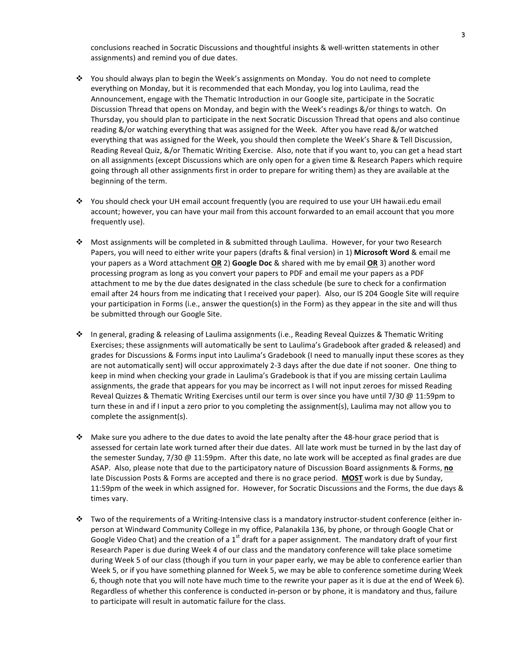conclusions reached in Socratic Discussions and thoughtful insights & well-written statements in other assignments) and remind you of due dates.

- ❖ You should always plan to begin the Week's assignments on Monday. You do not need to complete everything on Monday, but it is recommended that each Monday, you log into Laulima, read the Announcement, engage with the Thematic Introduction in our Google site, participate in the Socratic Discussion Thread that opens on Monday, and begin with the Week's readings &/or things to watch. On Thursday, you should plan to participate in the next Socratic Discussion Thread that opens and also continue reading &/or watching everything that was assigned for the Week. After you have read &/or watched everything that was assigned for the Week, you should then complete the Week's Share & Tell Discussion, Reading Reveal Quiz, &/or Thematic Writing Exercise. Also, note that if you want to, you can get a head start on all assignments (except Discussions which are only open for a given time & Research Papers which require going through all other assignments first in order to prepare for writing them) as they are available at the beginning of the term.
- $\cdot$  You should check your UH email account frequently (you are required to use your UH hawaii.edu email account; however, you can have your mail from this account forwarded to an email account that you more frequently use).
- \* Most assignments will be completed in & submitted through Laulima. However, for your two Research Papers, you will need to either write your papers (drafts & final version) in 1) **Microsoft Word** & email me your papers as a Word attachment **OR** 2) **Google Doc** & shared with me by email **OR** 3) another word processing program as long as you convert your papers to PDF and email me your papers as a PDF attachment to me by the due dates designated in the class schedule (be sure to check for a confirmation email after 24 hours from me indicating that I received your paper). Also, our IS 204 Google Site will require your participation in Forms (i.e., answer the question(s) in the Form) as they appear in the site and will thus be submitted through our Google Site.
- ❖ In general, grading & releasing of Laulima assignments (i.e., Reading Reveal Quizzes & Thematic Writing Exercises; these assignments will automatically be sent to Laulima's Gradebook after graded & released) and grades for Discussions & Forms input into Laulima's Gradebook (I need to manually input these scores as they are not automatically sent) will occur approximately 2-3 days after the due date if not sooner. One thing to keep in mind when checking your grade in Laulima's Gradebook is that if you are missing certain Laulima assignments, the grade that appears for you may be incorrect as I will not input zeroes for missed Reading Reveal Quizzes & Thematic Writing Exercises until our term is over since you have until 7/30 @ 11:59pm to turn these in and if I input a zero prior to you completing the assignment(s), Laulima may not allow you to complete the assignment(s).
- $*$  Make sure you adhere to the due dates to avoid the late penalty after the 48-hour grace period that is assessed for certain late work turned after their due dates. All late work must be turned in by the last day of the semester Sunday, 7/30 @ 11:59pm. After this date, no late work will be accepted as final grades are due ASAP. Also, please note that due to the participatory nature of Discussion Board assignments & Forms, **no** late Discussion Posts & Forms are accepted and there is no grace period. **MOST** work is due by Sunday, 11:59pm of the week in which assigned for. However, for Socratic Discussions and the Forms, the due days & times vary.
- $\cdot$  Two of the requirements of a Writing-Intensive class is a mandatory instructor-student conference (either inperson at Windward Community College in my office, Palanakila 136, by phone, or through Google Chat or Google Video Chat) and the creation of a  $1<sup>st</sup>$  draft for a paper assignment. The mandatory draft of your first Research Paper is due during Week 4 of our class and the mandatory conference will take place sometime during Week 5 of our class (though if you turn in your paper early, we may be able to conference earlier than Week 5, or if you have something planned for Week 5, we may be able to conference sometime during Week 6, though note that you will note have much time to the rewrite your paper as it is due at the end of Week 6). Regardless of whether this conference is conducted in-person or by phone, it is mandatory and thus, failure to participate will result in automatic failure for the class.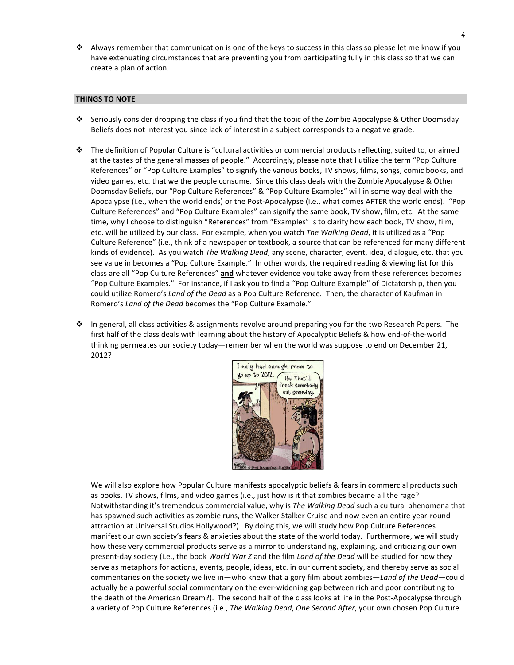$\cdot$  Always remember that communication is one of the keys to success in this class so please let me know if you have extenuating circumstances that are preventing you from participating fully in this class so that we can create a plan of action.

## **THINGS TO NOTE**

- $\cdot$  Seriously consider dropping the class if you find that the topic of the Zombie Apocalypse & Other Doomsday Beliefs does not interest you since lack of interest in a subject corresponds to a negative grade.
- $\cdot$  The definition of Popular Culture is "cultural activities or commercial products reflecting, suited to, or aimed at the tastes of the general masses of people." Accordingly, please note that I utilize the term "Pop Culture References" or "Pop Culture Examples" to signify the various books, TV shows, films, songs, comic books, and video games, etc. that we the people consume. Since this class deals with the Zombie Apocalypse & Other Doomsday Beliefs, our "Pop Culture References" & "Pop Culture Examples" will in some way deal with the Apocalypse (i.e., when the world ends) or the Post-Apocalypse (i.e., what comes AFTER the world ends). "Pop Culture References" and "Pop Culture Examples" can signify the same book, TV show, film, etc. At the same time, why I choose to distinguish "References" from "Examples" is to clarify how each book, TV show, film, etc. will be utilized by our class. For example, when you watch *The Walking Dead*, it is utilized as a "Pop Culture Reference" (i.e., think of a newspaper or textbook, a source that can be referenced for many different kinds of evidence). As you watch *The Walking Dead*, any scene, character, event, idea, dialogue, etc. that you see value in becomes a "Pop Culture Example." In other words, the required reading & viewing list for this class are all "Pop Culture References" and whatever evidence you take away from these references becomes "Pop Culture Examples." For instance, if I ask you to find a "Pop Culture Example" of Dictatorship, then you could utilize Romero's *Land of the Dead* as a Pop Culture Reference. Then, the character of Kaufman in Romero's *Land of the Dead* becomes the "Pop Culture Example."
- ❖ In general, all class activities & assignments revolve around preparing you for the two Research Papers. The first half of the class deals with learning about the history of Apocalyptic Beliefs & how end-of-the-world thinking permeates our society today—remember when the world was suppose to end on December 21, 2012?



We will also explore how Popular Culture manifests apocalyptic beliefs & fears in commercial products such as books, TV shows, films, and video games (i.e., just how is it that zombies became all the rage? Notwithstanding it's tremendous commercial value, why is *The Walking Dead* such a cultural phenomena that has spawned such activities as zombie runs, the Walker Stalker Cruise and now even an entire year-round attraction at Universal Studios Hollywood?). By doing this, we will study how Pop Culture References manifest our own society's fears & anxieties about the state of the world today. Furthermore, we will study how these very commercial products serve as a mirror to understanding, explaining, and criticizing our own present-day society (i.e., the book *World War Z* and the film *Land of the Dead* will be studied for how they serve as metaphors for actions, events, people, ideas, etc. in our current society, and thereby serve as social commentaries on the society we live in—who knew that a gory film about zombies—Land of the Dead—could actually be a powerful social commentary on the ever-widening gap between rich and poor contributing to the death of the American Dream?). The second half of the class looks at life in the Post-Apocalypse through a variety of Pop Culture References (i.e., *The Walking Dead, One Second After*, your own chosen Pop Culture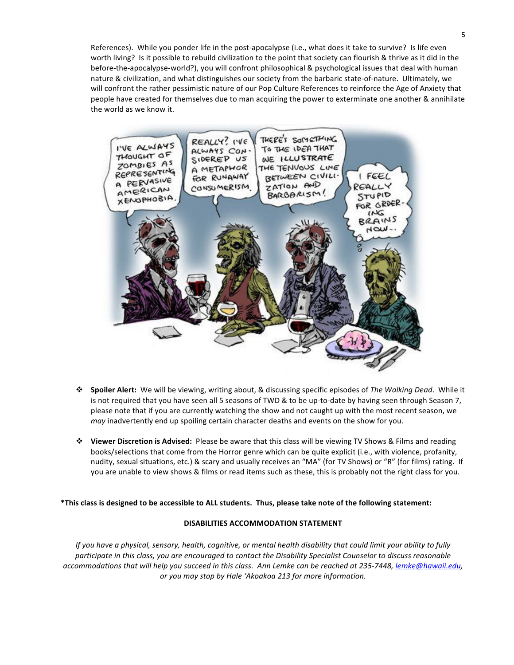References). While you ponder life in the post-apocalypse (i.e., what does it take to survive? Is life even worth living? Is it possible to rebuild civilization to the point that society can flourish & thrive as it did in the before-the-apocalypse-world?), you will confront philosophical & psychological issues that deal with human nature & civilization, and what distinguishes our society from the barbaric state-of-nature. Ultimately, we will confront the rather pessimistic nature of our Pop Culture References to reinforce the Age of Anxiety that people have created for themselves due to man acquiring the power to exterminate one another & annihilate the world as we know it.



- \* Spoiler Alert: We will be viewing, writing about, & discussing specific episodes of The Walking Dead. While it is not required that you have seen all 5 seasons of TWD & to be up-to-date by having seen through Season 7, please note that if you are currently watching the show and not caught up with the most recent season, we *may* inadvertently end up spoiling certain character deaths and events on the show for you.
- **\*** Viewer Discretion is Advised: Please be aware that this class will be viewing TV Shows & Films and reading books/selections that come from the Horror genre which can be quite explicit (i.e., with violence, profanity, nudity, sexual situations, etc.) & scary and usually receives an "MA" (for TV Shows) or "R" (for films) rating. If you are unable to view shows & films or read items such as these, this is probably not the right class for you.

\*This class is designed to be accessible to ALL students. Thus, please take note of the following statement:

## **DISABILITIES ACCOMMODATION STATEMENT**

*If* you have a physical, sensory, health, cognitive, or mental health disability that could limit your ability to fully participate in this class, you are encouraged to contact the Disability Specialist Counselor to discuss reasonable *accommodations that will help you succeed in this class. Ann Lemke can be reached at 235-7448, lemke@hawaii.edu,* or you may stop by Hale 'Akoakoa 213 for more information.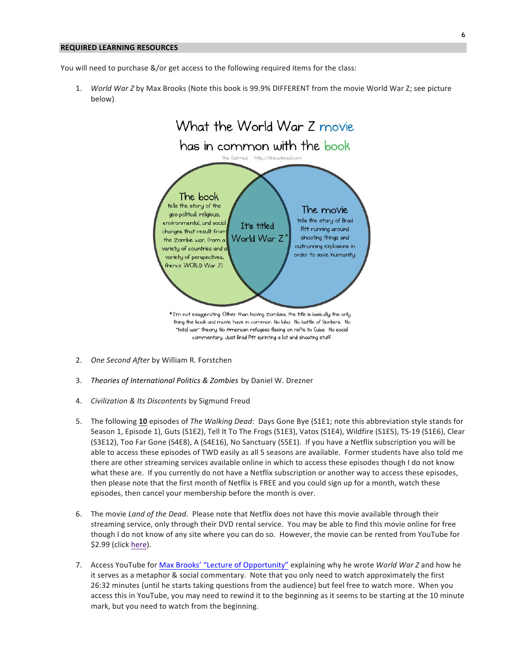#### **REQUIRED LEARNING RESOURCES**

You will need to purchase &/or get access to the following required items for the class:

1. *World War Z* by Max Brooks (Note this book is 99.9% DIFFERENT from the movie World War Z; see picture below)



- 2. One Second After by William R. Forstchen
- 3. Theories of International Politics & Zombies by Daniel W. Drezner
- 4. *Civilization & Its Discontents* by Sigmund Freud
- 5. The following 10 episodes of The Walking Dead: Days Gone Bye (S1E1; note this abbreviation style stands for Season 1, Episode 1), Guts (S1E2), Tell It To The Frogs (S1E3), Vatos (S1E4), Wildfire (S1E5), TS-19 (S1E6), Clear (S3E12), Too Far Gone (S4E8), A (S4E16), No Sanctuary (S5E1). If you have a Netflix subscription you will be able to access these episodes of TWD easily as all 5 seasons are available. Former students have also told me there are other streaming services available online in which to access these episodes though I do not know what these are. If you currently do not have a Netflix subscription or another way to access these episodes, then please note that the first month of Netflix is FREE and you could sign up for a month, watch these episodes, then cancel your membership before the month is over.
- 6. The movie *Land of the Dead*. Please note that Netflix does not have this movie available through their streaming service, only through their DVD rental service. You may be able to find this movie online for free though I do not know of any site where you can do so. However, the movie can be rented from YouTube for \$2.99 (click here).
- 7. Access YouTube for Max Brooks' "Lecture of Opportunity" explaining why he wrote World War Z and how he it serves as a metaphor & social commentary. Note that you only need to watch approximately the first 26:32 minutes (until he starts taking questions from the audience) but feel free to watch more. When you access this in YouTube, you may need to rewind it to the beginning as it seems to be starting at the 10 minute mark, but you need to watch from the beginning.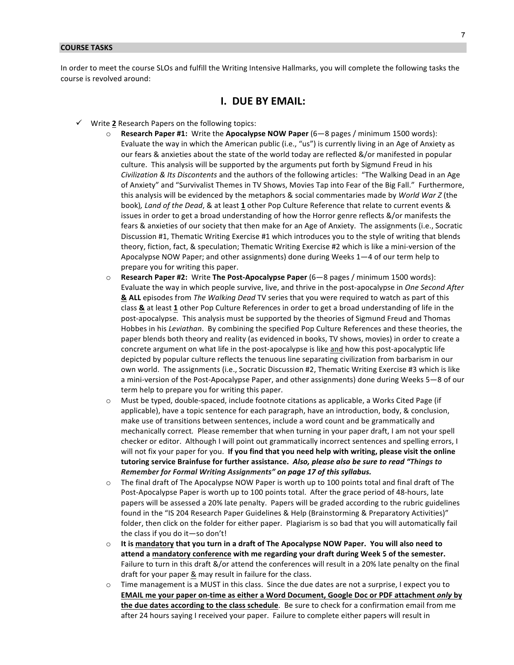#### **COURSE TASKS**

In order to meet the course SLOs and fulfill the Writing Intensive Hallmarks, you will complete the following tasks the course is revolved around:

# **I. DUE BY EMAIL:**

- $\checkmark$  Write 2 Research Papers on the following topics:
	- $\circ$  **Research Paper #1:** Write the Apocalypse NOW Paper (6—8 pages / minimum 1500 words): Evaluate the way in which the American public (i.e., "us") is currently living in an Age of Anxiety as our fears & anxieties about the state of the world today are reflected &/or manifested in popular culture. This analysis will be supported by the arguments put forth by Sigmund Freud in his *Civilization & Its Discontents* and the authors of the following articles: "The Walking Dead in an Age of Anxiety" and "Survivalist Themes in TV Shows, Movies Tap into Fear of the Big Fall." Furthermore, this analysis will be evidenced by the metaphors & social commentaries made by *World War Z* (the book), Land of the Dead, & at least 1 other Pop Culture Reference that relate to current events & issues in order to get a broad understanding of how the Horror genre reflects &/or manifests the fears & anxieties of our society that then make for an Age of Anxiety. The assignments (i.e., Socratic Discussion #1, Thematic Writing Exercise #1 which introduces you to the style of writing that blends theory, fiction, fact, & speculation; Thematic Writing Exercise #2 which is like a mini-version of the Apocalypse NOW Paper; and other assignments) done during Weeks  $1-4$  of our term help to prepare you for writing this paper.
	- $\circ$  **Research Paper #2:** Write The Post-Apocalypse Paper (6—8 pages / minimum 1500 words): Evaluate the way in which people survive, live, and thrive in the post-apocalypse in *One Second After* **&** ALL episodes from *The Walking Dead* TV series that you were required to watch as part of this class & at least 1 other Pop Culture References in order to get a broad understanding of life in the post-apocalypse. This analysis must be supported by the theories of Sigmund Freud and Thomas Hobbes in his *Leviathan*. By combining the specified Pop Culture References and these theories, the paper blends both theory and reality (as evidenced in books, TV shows, movies) in order to create a concrete argument on what life in the post-apocalypse is like and how this post-apocalyptic life depicted by popular culture reflects the tenuous line separating civilization from barbarism in our own world. The assignments (i.e., Socratic Discussion #2, Thematic Writing Exercise #3 which is like a mini-version of the Post-Apocalypse Paper, and other assignments) done during Weeks 5-8 of our term help to prepare you for writing this paper.
	- o Must be typed, double-spaced, include footnote citations as applicable, a Works Cited Page (if applicable), have a topic sentence for each paragraph, have an introduction, body, & conclusion, make use of transitions between sentences, include a word count and be grammatically and mechanically correct. Please remember that when turning in your paper draft, I am not your spell checker or editor. Although I will point out grammatically incorrect sentences and spelling errors, I will not fix your paper for you. If you find that you need help with writing, please visit the online tutoring service Brainfuse for further assistance. Also, please also be sure to read "Things to *Remember for Formal Writing Assignments"* on page 17 of this syllabus.
	- $\circ$  The final draft of The Apocalypse NOW Paper is worth up to 100 points total and final draft of The Post-Apocalypse Paper is worth up to 100 points total. After the grace period of 48-hours, late papers will be assessed a 20% late penalty. Papers will be graded according to the rubric guidelines found in the "IS 204 Research Paper Guidelines & Help (Brainstorming & Preparatory Activities)" folder, then click on the folder for either paper. Plagiarism is so bad that you will automatically fail the class if you do it—so don't!
	- $\circ$  It is **mandatory** that you turn in a draft of The Apocalypse NOW Paper. You will also need to attend a mandatory conference with me regarding your draft during Week 5 of the semester. Failure to turn in this draft &/or attend the conferences will result in a 20% late penalty on the final draft for your paper & may result in failure for the class.
	- $\circ$  Time management is a MUST in this class. Since the due dates are not a surprise, I expect you to **EMAIL** me your paper on-time as either a Word Document, Google Doc or PDF attachment *only* by **the due dates according to the class schedule**. Be sure to check for a confirmation email from me after 24 hours saying I received your paper. Failure to complete either papers will result in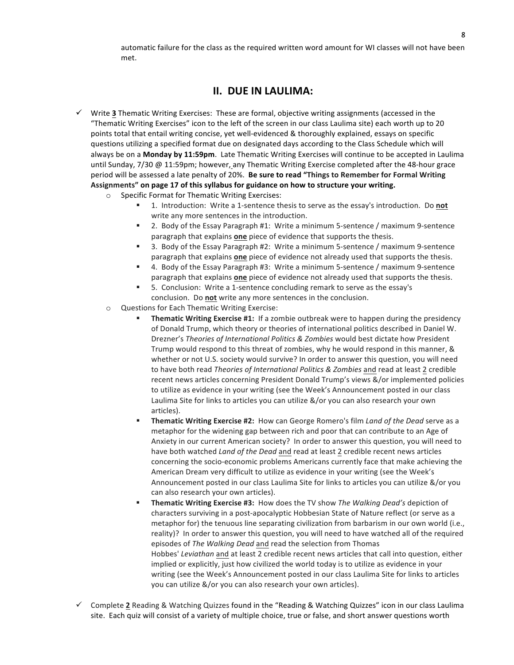automatic failure for the class as the required written word amount for WI classes will not have been met.

# **II. DUE IN LAULIMA:**

- Write 3 Thematic Writing Exercises: These are formal, objective writing assignments (accessed in the "Thematic Writing Exercises" icon to the left of the screen in our class Laulima site) each worth up to 20 points total that entail writing concise, yet well-evidenced & thoroughly explained, essays on specific questions utilizing a specified format due on designated days according to the Class Schedule which will always be on a Monday by 11:59pm. Late Thematic Writing Exercises will continue to be accepted in Laulima until Sunday, 7/30 @ 11:59pm; however, any Thematic Writing Exercise completed after the 48-hour grace period will be assessed a late penalty of 20%. Be sure to read "Things to Remember for Formal Writing Assignments" on page 17 of this syllabus for guidance on how to structure your writing.
	- $\circ$  Specific Format for Thematic Writing Exercises:
		- 1. Introduction: Write a 1-sentence thesis to serve as the essay's introduction. Do not write any more sentences in the introduction.
		- 2. Body of the Essay Paragraph #1: Write a minimum 5-sentence / maximum 9-sentence paragraph that explains **one** piece of evidence that supports the thesis.
		- 3. Body of the Essay Paragraph #2: Write a minimum 5-sentence / maximum 9-sentence paragraph that explains **one** piece of evidence not already used that supports the thesis.
		- 4. Body of the Essay Paragraph #3: Write a minimum 5-sentence / maximum 9-sentence paragraph that explains **one** piece of evidence not already used that supports the thesis.
		- 5. Conclusion: Write a 1-sentence concluding remark to serve as the essay's conclusion. Do **not** write any more sentences in the conclusion.
	- $\circ$  Questions for Each Thematic Writing Exercise:
		- **Thematic Writing Exercise #1:** If a zombie outbreak were to happen during the presidency of Donald Trump, which theory or theories of international politics described in Daniel W. Drezner's *Theories of International Politics & Zombies* would best dictate how President Trump would respond to this threat of zombies, why he would respond in this manner, & whether or not U.S. society would survive? In order to answer this question, you will need to have both read *Theories of International Politics & Zombies* and read at least 2 credible recent news articles concerning President Donald Trump's views &/or implemented policies to utilize as evidence in your writing (see the Week's Announcement posted in our class Laulima Site for links to articles you can utilize &/or you can also research your own articles).
		- **Thematic Writing Exercise #2:** How can George Romero's film *Land of the Dead* serve as a metaphor for the widening gap between rich and poor that can contribute to an Age of Anxiety in our current American society? In order to answer this question, you will need to have both watched *Land of the Dead* and read at least 2 credible recent news articles concerning the socio-economic problems Americans currently face that make achieving the American Dream very difficult to utilize as evidence in your writing (see the Week's Announcement posted in our class Laulima Site for links to articles you can utilize &/or you can also research your own articles).
		- **Thematic Writing Exercise #3:** How does the TV show *The Walking Dead's* depiction of characters surviving in a post-apocalyptic Hobbesian State of Nature reflect (or serve as a metaphor for) the tenuous line separating civilization from barbarism in our own world (i.e., reality)? In order to answer this question, you will need to have watched all of the required episodes of *The Walking Dead* and read the selection from Thomas Hobbes' Leviathan and at least 2 credible recent news articles that call into question, either implied or explicitly, just how civilized the world today is to utilize as evidence in your writing (see the Week's Announcement posted in our class Laulima Site for links to articles you can utilize &/or you can also research your own articles).
- $\checkmark$  Complete 2 Reading & Watching Quizzes found in the "Reading & Watching Quizzes" icon in our class Laulima site. Each quiz will consist of a variety of multiple choice, true or false, and short answer questions worth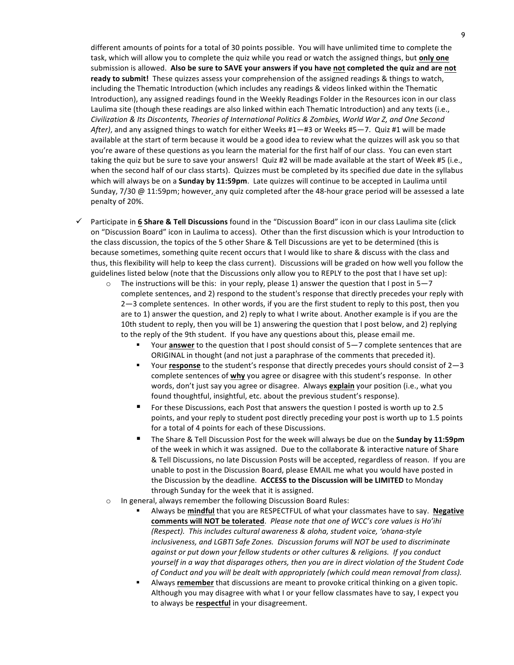different amounts of points for a total of 30 points possible. You will have unlimited time to complete the task, which will allow you to complete the quiz while you read or watch the assigned things, but **only one** submission is allowed. Also be sure to SAVE your answers if you have not completed the quiz and are not ready to submit! These quizzes assess your comprehension of the assigned readings & things to watch, including the Thematic Introduction (which includes any readings & videos linked within the Thematic Introduction), any assigned readings found in the Weekly Readings Folder in the Resources icon in our class Laulima site (though these readings are also linked within each Thematic Introduction) and any texts (i.e., *Civilization & Its Discontents, Theories of International Politics & Zombies, World War Z, and One Second*  After), and any assigned things to watch for either Weeks #1—#3 or Weeks #5—7. Quiz #1 will be made available at the start of term because it would be a good idea to review what the quizzes will ask you so that you're aware of these questions as you learn the material for the first half of our class. You can even start taking the quiz but be sure to save your answers! Quiz #2 will be made available at the start of Week #5 (i.e., when the second half of our class starts). Quizzes must be completed by its specified due date in the syllabus which will always be on a **Sunday by 11:59pm**. Late quizzes will continue to be accepted in Laulima until Sunday, 7/30 @ 11:59pm; however, any quiz completed after the 48-hour grace period will be assessed a late penalty of 20%.

- √ Participate in 6 Share & Tell Discussions found in the "Discussion Board" icon in our class Laulima site (click on "Discussion Board" icon in Laulima to access). Other than the first discussion which is your Introduction to the class discussion, the topics of the 5 other Share & Tell Discussions are yet to be determined (this is because sometimes, something quite recent occurs that I would like to share & discuss with the class and thus, this flexibility will help to keep the class current). Discussions will be graded on how well you follow the guidelines listed below (note that the Discussions only allow you to REPLY to the post that I have set up):
	- $\circ$  The instructions will be this: in your reply, please 1) answer the question that I post in 5–7 complete sentences, and 2) respond to the student's response that directly precedes your reply with 2-3 complete sentences. In other words, if you are the first student to reply to this post, then you are to 1) answer the question, and 2) reply to what I write about. Another example is if you are the 10th student to reply, then you will be 1) answering the question that I post below, and 2) replying to the reply of the 9th student. If you have any questions about this, please email me.
		- Your **answer** to the question that I post should consist of 5-7 complete sentences that are ORIGINAL in thought (and not just a paraphrase of the comments that preceded it).
		- Your **response** to the student's response that directly precedes yours should consist of 2-3 complete sentences of **why** you agree or disagree with this student's response. In other words, don't just say you agree or disagree. Always **explain** your position (i.e., what you found thoughtful, insightful, etc. about the previous student's response).
		- For these Discussions, each Post that answers the question I posted is worth up to 2.5 points, and your reply to student post directly preceding your post is worth up to 1.5 points for a total of 4 points for each of these Discussions.
		- The Share & Tell Discussion Post for the week will always be due on the **Sunday by 11:59pm** of the week in which it was assigned. Due to the collaborate & interactive nature of Share & Tell Discussions, no late Discussion Posts will be accepted, regardless of reason. If you are unable to post in the Discussion Board, please EMAIL me what you would have posted in the Discussion by the deadline. ACCESS to the Discussion will be LIMITED to Monday through Sunday for the week that it is assigned.
	- o In general, always remember the following Discussion Board Rules:
		- Always be mindful that you are RESPECTFUL of what your classmates have to say. Negative comments will NOT be tolerated. Please note that one of WCC's core values is Ho'ihi *(Respect).* This includes cultural awareness & aloha, student voice, 'ohana-style *inclusiveness, and LGBTI Safe Zones. Discussion forums will NOT be used to discriminate against or put down your fellow students or other cultures & religions. If you conduct* yourself in a way that disparages others, then you are in direct violation of the Student Code of Conduct and you will be dealt with appropriately (which could mean removal from class).
		- Always **remember** that discussions are meant to provoke critical thinking on a given topic. Although you may disagree with what I or your fellow classmates have to say, I expect you to always be **respectful** in your disagreement.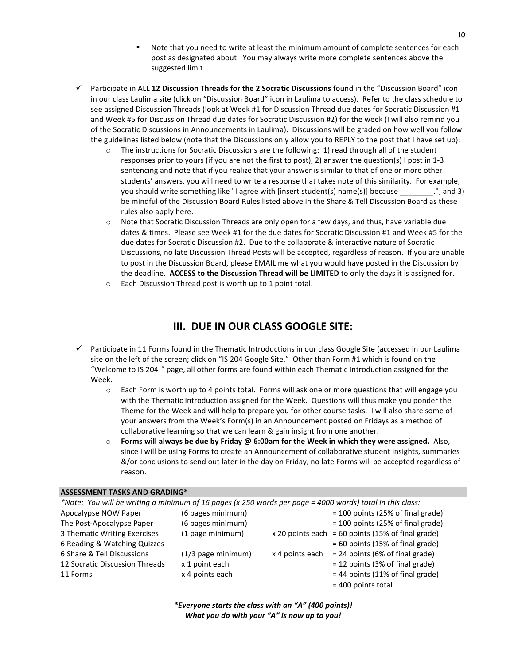- Note that you need to write at least the minimum amount of complete sentences for each post as designated about. You may always write more complete sentences above the suggested limit.
- √ Participate in ALL 12 Discussion Threads for the 2 Socratic Discussions found in the "Discussion Board" icon in our class Laulima site (click on "Discussion Board" icon in Laulima to access). Refer to the class schedule to see assigned Discussion Threads (look at Week #1 for Discussion Thread due dates for Socratic Discussion #1 and Week #5 for Discussion Thread due dates for Socratic Discussion #2) for the week (I will also remind you of the Socratic Discussions in Announcements in Laulima). Discussions will be graded on how well you follow the guidelines listed below (note that the Discussions only allow you to REPLY to the post that I have set up):
	- $\circ$  The instructions for Socratic Discussions are the following: 1) read through all of the student responses prior to yours (if you are not the first to post), 2) answer the question(s) I post in 1-3 sentencing and note that if you realize that your answer is similar to that of one or more other students' answers, you will need to write a response that takes note of this similarity. For example, you should write something like "I agree with [insert student(s) name(s)] because \_\_\_\_\_\_\_.", and 3) be mindful of the Discussion Board Rules listed above in the Share & Tell Discussion Board as these rules also apply here.
	- $\circ$  Note that Socratic Discussion Threads are only open for a few days, and thus, have variable due dates & times. Please see Week #1 for the due dates for Socratic Discussion #1 and Week #5 for the due dates for Socratic Discussion #2. Due to the collaborate & interactive nature of Socratic Discussions, no late Discussion Thread Posts will be accepted, regardless of reason. If you are unable to post in the Discussion Board, please EMAIL me what you would have posted in the Discussion by the deadline. ACCESS to the Discussion Thread will be LIMITED to only the days it is assigned for.
	- $\circ$  Each Discussion Thread post is worth up to 1 point total.

# **III. DUE IN OUR CLASS GOOGLE SITE:**

- $\checkmark$  Participate in 11 Forms found in the Thematic Introductions in our class Google Site (accessed in our Laulima site on the left of the screen; click on "IS 204 Google Site." Other than Form #1 which is found on the "Welcome to IS 204!" page, all other forms are found within each Thematic Introduction assigned for the Week.
	- $\circ$  Each Form is worth up to 4 points total. Forms will ask one or more questions that will engage you with the Thematic Introduction assigned for the Week. Questions will thus make you ponder the Theme for the Week and will help to prepare you for other course tasks. I will also share some of your answers from the Week's Form(s) in an Announcement posted on Fridays as a method of collaborative learning so that we can learn & gain insight from one another.
	- $\circ$  **Forms will always be due by Friday @ 6:00am for the Week in which they were assigned.** Also, since I will be using Forms to create an Announcement of collaborative student insights, summaries &/or conclusions to send out later in the day on Friday, no late Forms will be accepted regardless of reason.

#### **ASSESSMENT TASKS AND GRADING\***

| *Note: You will be writing a minimum of 16 pages (x 250 words per page = 4000 words) total in this class: |                       |                  |                                     |  |
|-----------------------------------------------------------------------------------------------------------|-----------------------|------------------|-------------------------------------|--|
| Apocalypse NOW Paper                                                                                      | (6 pages minimum)     |                  | $= 100$ points (25% of final grade) |  |
| The Post-Apocalypse Paper                                                                                 | (6 pages minimum)     |                  | $= 100$ points (25% of final grade) |  |
| 3 Thematic Writing Exercises                                                                              | (1 page minimum)      | x 20 points each | $= 60$ points (15% of final grade)  |  |
| 6 Reading & Watching Quizzes                                                                              |                       |                  | $= 60$ points (15% of final grade)  |  |
| 6 Share & Tell Discussions                                                                                | $(1/3)$ page minimum) | x 4 points each  | $= 24$ points (6% of final grade)   |  |
| 12 Socratic Discussion Threads                                                                            | x 1 point each        |                  | $= 12$ points (3% of final grade)   |  |
| 11 Forms                                                                                                  | x 4 points each       |                  | $= 44$ points (11% of final grade)  |  |
|                                                                                                           |                       |                  | $= 400$ points total                |  |

*\*Everyone starts the class with an "A" (400 points)! What you do with your "A" is now up to you!*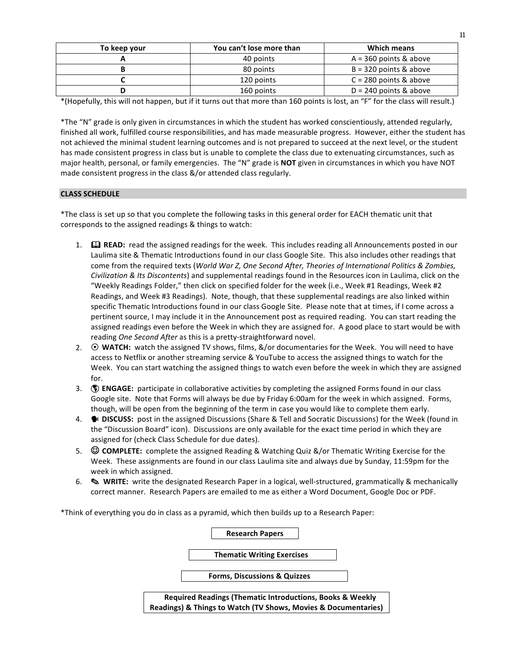| To keep your | You can't lose more than | Which means              |
|--------------|--------------------------|--------------------------|
|              | 40 points                | $A = 360$ points & above |
|              | 80 points                | $B = 320$ points & above |
|              | 120 points               | $C = 280$ points & above |
| D            | 160 points               | $D = 240$ points & above |

\*(Hopefully, this will not happen, but if it turns out that more than 160 points is lost, an "F" for the class will result.)

\*The "N" grade is only given in circumstances in which the student has worked conscientiously, attended regularly, finished all work, fulfilled course responsibilities, and has made measurable progress. However, either the student has not achieved the minimal student learning outcomes and is not prepared to succeed at the next level, or the student has made consistent progress in class but is unable to complete the class due to extenuating circumstances, such as major health, personal, or family emergencies. The "N" grade is **NOT** given in circumstances in which you have NOT made consistent progress in the class &/or attended class regularly.

## **CLASS SCHEDULE**

\*The class is set up so that you complete the following tasks in this general order for EACH thematic unit that corresponds to the assigned readings & things to watch:

- 1.  $\Box$  **READ:** read the assigned readings for the week. This includes reading all Announcements posted in our Laulima site & Thematic Introductions found in our class Google Site. This also includes other readings that come from the required texts (*World War Z, One Second After, Theories of International Politics & Zombies, Civilization* & Its Discontents) and supplemental readings found in the Resources icon in Laulima, click on the "Weekly Readings Folder," then click on specified folder for the week (i.e., Week #1 Readings, Week #2 Readings, and Week #3 Readings). Note, though, that these supplemental readings are also linked within specific Thematic Introductions found in our class Google Site. Please note that at times, if I come across a pertinent source, I may include it in the Announcement post as required reading. You can start reading the assigned readings even before the Week in which they are assigned for. A good place to start would be with reading One Second After as this is a pretty-straightforward novel.
- 2.  $\odot$  **WATCH:** watch the assigned TV shows, films,  $\&$ /or documentaries for the Week. You will need to have access to Netflix or another streaming service & YouTube to access the assigned things to watch for the Week. You can start watching the assigned things to watch even before the week in which they are assigned for.
- 3. **(1) ENGAGE:** participate in collaborative activities by completing the assigned Forms found in our class Google site. Note that Forms will always be due by Friday 6:00am for the week in which assigned. Forms, though, will be open from the beginning of the term in case you would like to complete them early.
- 4. **\*** DISCUSS: post in the assigned Discussions (Share & Tell and Socratic Discussions) for the Week (found in the "Discussion Board" icon). Discussions are only available for the exact time period in which they are assigned for (check Class Schedule for due dates).
- 5. **© COMPLETE:** complete the assigned Reading & Watching Quiz &/or Thematic Writing Exercise for the Week. These assignments are found in our class Laulima site and always due by Sunday, 11:59pm for the week in which assigned.
- 6.  $\otimes$  **WRITE:** write the designated Research Paper in a logical, well-structured, grammatically & mechanically correct manner. Research Papers are emailed to me as either a Word Document, Google Doc or PDF.

\*Think of everything you do in class as a pyramid, which then builds up to a Research Paper:

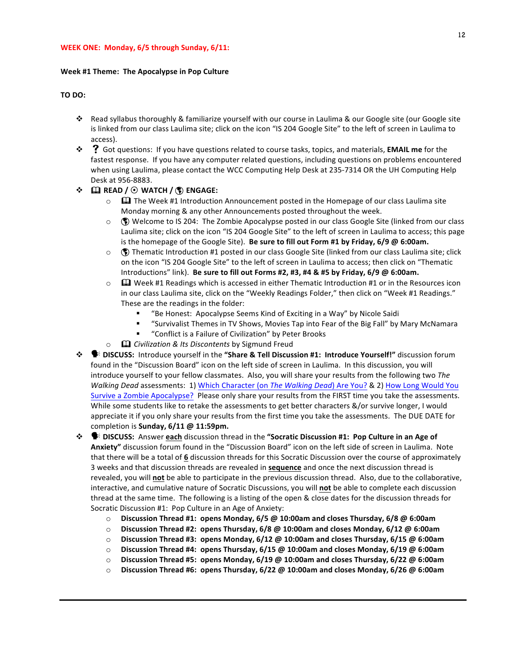#### **WEEK ONE: Monday, 6/5 through Sunday, 6/11:**

#### **Week #1 Theme: The Apocalypse in Pop Culture**

#### **TO DO:**

- ❖ Read syllabus thoroughly & familiarize yourself with our course in Laulima & our Google site (our Google site is linked from our class Laulima site; click on the icon "IS 204 Google Site" to the left of screen in Laulima to access).
- $\cdot$  $\cdot$  $\cdot$   $\cdot$  Got questions: If you have questions related to course tasks, topics, and materials, **EMAIL me** for the fastest response. If you have any computer related questions, including questions on problems encountered when using Laulima, please contact the WCC Computing Help Desk at 235-7314 OR the UH Computing Help Desk at 956-8883.

#### $\div$  **EQ READ** /  $\odot$  WATCH /  $\circled{F}$  ENGAGE:

- $\circ$   $\Box$  The Week #1 Introduction Announcement posted in the Homepage of our class Laulima site Monday morning & any other Announcements posted throughout the week.
- $\circ$  ( $\bullet$ ) Welcome to IS 204: The Zombie Apocalypse posted in our class Google Site (linked from our class Laulima site; click on the icon "IS 204 Google Site" to the left of screen in Laulima to access; this page is the homepage of the Google Site). Be sure to fill out Form #1 by Friday, 6/9 @ 6:00am.
- $\circ$  ( $\circ$ ) Thematic Introduction #1 posted in our class Google Site (linked from our class Laulima site; click on the icon "IS 204 Google Site" to the left of screen in Laulima to access; then click on "Thematic Introductions" link). **Be sure to fill out Forms #2, #3, #4 & #5 by Friday, 6/9 @ 6:00am.**
- $\circ$   $\Box$  Week #1 Readings which is accessed in either Thematic Introduction #1 or in the Resources icon in our class Laulima site, click on the "Weekly Readings Folder," then click on "Week #1 Readings." These are the readings in the folder:
	- "Be Honest: Apocalypse Seems Kind of Exciting in a Way" by Nicole Saidi
	- "Survivalist Themes in TV Shows, Movies Tap into Fear of the Big Fall" by Mary McNamara
	- "Conflict is a Failure of Civilization" by Peter Brooks
- o  $\Box$  *Civilization & Its Discontents* by Sigmund Freud
- \* SHE DISCUSS: Introduce yourself in the "Share & Tell Discussion #1: Introduce Yourself!" discussion forum found in the "Discussion Board" icon on the left side of screen in Laulima. In this discussion, you will introduce yourself to your fellow classmates. Also, you will share your results from the following two The *Walking Dead* assessments: 1) Which Character (on *The Walking Dead*) Are You? & 2) How Long Would You Survive a Zombie Apocalypse? Please only share your results from the FIRST time you take the assessments. While some students like to retake the assessments to get better characters &/or survive longer, I would appreciate it if you only share your results from the first time you take the assessments. The DUE DATE for completion is **Sunday, 6/11 @ 11:59pm.**
- $\diamond$  **DISCUSS:** Answer each discussion thread in the "Socratic Discussion #1: Pop Culture in an Age of Anxiety" discussion forum found in the "Discussion Board" icon on the left side of screen in Laulima. Note that there will be a total of 6 discussion threads for this Socratic Discussion over the course of approximately 3 weeks and that discussion threads are revealed in **sequence** and once the next discussion thread is revealed, you will not be able to participate in the previous discussion thread. Also, due to the collaborative, interactive, and cumulative nature of Socratic Discussions, you will not be able to complete each discussion thread at the same time. The following is a listing of the open & close dates for the discussion threads for Socratic Discussion #1: Pop Culture in an Age of Anxiety:
	- o **Discussion Thread #1: opens Monday, 6/5 @ 10:00am and closes Thursday, 6/8 @ 6:00am**
	- o **Discussion Thread #2: opens Thursday, 6/8 @ 10:00am and closes Monday, 6/12 @ 6:00am**
	- o **Discussion Thread #3: opens Monday, 6/12 @ 10:00am and closes Thursday, 6/15 @ 6:00am**
	- o **Discussion Thread #4: opens Thursday, 6/15 @ 10:00am and closes Monday, 6/19 @ 6:00am**
	- o **Discussion Thread #5: opens Monday, 6/19 @ 10:00am and closes Thursday, 6/22 @ 6:00am**
	- o **Discussion Thread #6: opens Thursday, 6/22 @ 10:00am and closes Monday, 6/26 @ 6:00am**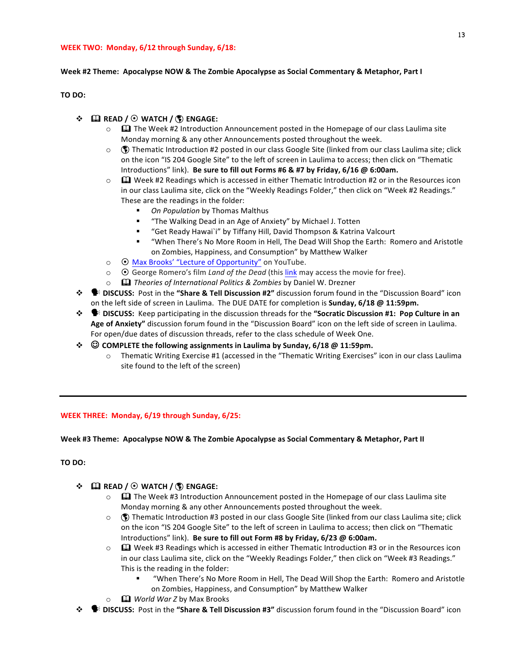## **WEEK TWO: Monday, 6/12 through Sunday, 6/18:**

## Week #2 Theme: Apocalypse NOW & The Zombie Apocalypse as Social Commentary & Metaphor, Part I

## **TO DO:**

# $\cdot \cdot \quad \blacksquare$  READ /  $\odot$  WATCH /  $\binom{6}{5}$  ENGAGE:

- $\circ$   $\Box$  The Week #2 Introduction Announcement posted in the Homepage of our class Laulima site Monday morning & any other Announcements posted throughout the week.
- $\circ$  ( $\circ$ ) Thematic Introduction #2 posted in our class Google Site (linked from our class Laulima site; click on the icon "IS 204 Google Site" to the left of screen in Laulima to access; then click on "Thematic Introductions" link). Be sure to fill out Forms #6 & #7 by Friday, 6/16 @ 6:00am.
- $\circ$   $\Box$  Week #2 Readings which is accessed in either Thematic Introduction #2 or in the Resources icon in our class Laulima site, click on the "Weekly Readings Folder," then click on "Week #2 Readings." These are the readings in the folder:
	- **On Population by Thomas Malthus**
	- **"** "The Walking Dead in an Age of Anxiety" by Michael J. Totten
	- "Get Ready Hawai`i" by Tiffany Hill, David Thompson & Katrina Valcourt
	- "When There's No More Room in Hell, The Dead Will Shop the Earth: Romero and Aristotle on Zombies, Happiness, and Consumption" by Matthew Walker
- o  $\Theta$  Max Brooks' "Lecture of Opportunity" on YouTube.
- $\circ$   $\bullet$  George Romero's film *Land of the Dead* (this link may access the movie for free).
- $\circ$  **Q Theories of International Politics & Zombies by Daniel W. Drezner**
- **\*** DISCUSS: Post in the "Share & Tell Discussion #2" discussion forum found in the "Discussion Board" icon on the left side of screen in Laulima. The DUE DATE for completion is **Sunday, 6/18** @ 11:59pm.
- $\cdot \cdot \cdot$  **•** DISCUSS: Keep participating in the discussion threads for the "Socratic Discussion #1: Pop Culture in an Age of Anxiety" discussion forum found in the "Discussion Board" icon on the left side of screen in Laulima. For open/due dates of discussion threads, refer to the class schedule of Week One.
- **❖** © COMPLETE the following assignments in Laulima by Sunday, 6/18 @ 11:59pm.
	- o Thematic Writing Exercise #1 (accessed in the "Thematic Writing Exercises" icon in our class Laulima site found to the left of the screen)

## **WEEK THREE: Monday, 6/19 through Sunday, 6/25:**

Week #3 Theme: Apocalypse NOW & The Zombie Apocalypse as Social Commentary & Metaphor, Part II

## **TO DO:**

- ! \$ **READ /** ! **WATCH /** ! **ENGAGE:**
	- $\circ$   $\Box$  The Week #3 Introduction Announcement posted in the Homepage of our class Laulima site Monday morning & any other Announcements posted throughout the week.
	- $\circ$  ( $\bullet$ ) Thematic Introduction #3 posted in our class Google Site (linked from our class Laulima site; click on the icon "IS 204 Google Site" to the left of screen in Laulima to access; then click on "Thematic Introductions" link). Be sure to fill out Form #8 by Friday, 6/23 @ 6:00am.
	- $\circ$   $\Box$  Week #3 Readings which is accessed in either Thematic Introduction #3 or in the Resources icon in our class Laulima site, click on the "Weekly Readings Folder," then click on "Week #3 Readings." This is the reading in the folder:
		- "When There's No More Room in Hell, The Dead Will Shop the Earth: Romero and Aristotle on Zombies, Happiness, and Consumption" by Matthew Walker
	- $\circ$  **Q** *World War Z* **by Max Brooks**
- $\dots$  $\bullet$  **DISCUSS:** Post in the "Share & Tell Discussion #3" discussion forum found in the "Discussion Board" icon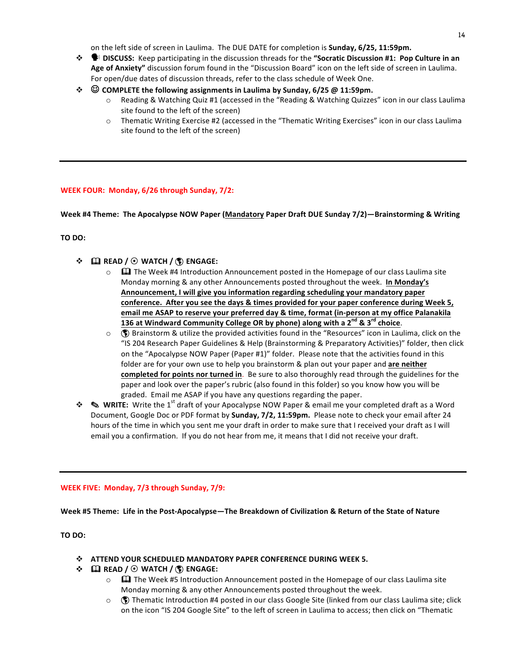on the left side of screen in Laulima. The DUE DATE for completion is **Sunday, 6/25, 11:59pm.** 

- **<sup>❖</sup> DISCUSS:** Keep participating in the discussion threads for the "Socratic Discussion #1: Pop Culture in an Age of Anxiety" discussion forum found in the "Discussion Board" icon on the left side of screen in Laulima. For open/due dates of discussion threads, refer to the class schedule of Week One.
- **❖** © COMPLETE the following assignments in Laulima by Sunday, 6/25 @ 11:59pm.
	- Reading & Watching Quiz #1 (accessed in the "Reading & Watching Quizzes" icon in our class Laulima site found to the left of the screen)
	- $\circ$  Thematic Writing Exercise #2 (accessed in the "Thematic Writing Exercises" icon in our class Laulima site found to the left of the screen)

## **WEEK FOUR: Monday, 6/26 through Sunday, 7/2:**

Week #4 Theme: The Apocalypse NOW Paper (Mandatory Paper Draft DUE Sunday 7/2)—Brainstorming & Writing

**TO DO:** 

- $\div$  **□** READ / ⊙ WATCH / **☉** ENGAGE:
	- $\circ$   $\Box$  The Week #4 Introduction Announcement posted in the Homepage of our class Laulima site Monday morning & any other Announcements posted throughout the week. In Monday's Announcement, I will give you information regarding scheduling your mandatory paper conference. After you see the days & times provided for your paper conference during Week 5, email me ASAP to reserve your preferred day & time, format (in-person at my office Palanakila **136 at Windward Community College OR by phone) along with a 2nd & 3rd choice**.
	- $\circ$  ( $\bullet$ ) Brainstorm & utilize the provided activities found in the "Resources" icon in Laulima, click on the "IS 204 Research Paper Guidelines & Help (Brainstorming & Preparatory Activities)" folder, then click on the "Apocalypse NOW Paper (Paper #1)" folder. Please note that the activities found in this folder are for your own use to help you brainstorm & plan out your paper and are neither **completed for points nor turned in**. Be sure to also thoroughly read through the guidelines for the paper and look over the paper's rubric (also found in this folder) so you know how you will be graded. Email me ASAP if you have any questions regarding the paper.
- **❖ S WRITE:** Write the 1<sup>st</sup> draft of your Apocalypse NOW Paper & email me your completed draft as a Word Document, Google Doc or PDF format by **Sunday, 7/2, 11:59pm.** Please note to check your email after 24 hours of the time in which you sent me your draft in order to make sure that I received your draft as I will email you a confirmation. If you do not hear from me, it means that I did not receive your draft.

#### **WEEK FIVE: Monday, 7/3 through Sunday, 7/9:**

Week #5 Theme: Life in the Post-Apocalypse—The Breakdown of Civilization & Return of the State of Nature

**TO** DO:

- $\cdot$  **ATTEND YOUR SCHEDULED MANDATORY PAPER CONFERENCE DURING WEEK 5.**
- ! \$ **READ /** ! **WATCH /** ! **ENGAGE:**
	- $\circ$   $\Box$  The Week #5 Introduction Announcement posted in the Homepage of our class Laulima site Monday morning & any other Announcements posted throughout the week.
	- $\circ$  ( $\bullet$ ) Thematic Introduction #4 posted in our class Google Site (linked from our class Laulima site; click on the icon "IS 204 Google Site" to the left of screen in Laulima to access; then click on "Thematic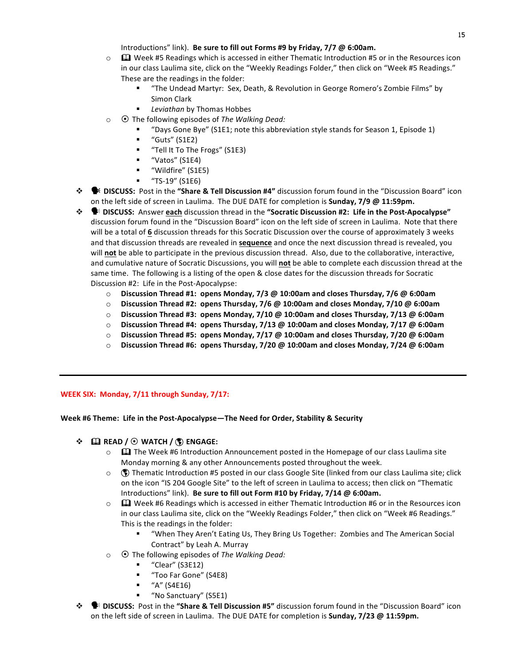Introductions" link). Be sure to fill out Forms #9 by Friday, 7/7 @ 6:00am.

- $\circ$   $\Box$  Week #5 Readings which is accessed in either Thematic Introduction #5 or in the Resources icon in our class Laulima site, click on the "Weekly Readings Folder," then click on "Week #5 Readings." These are the readings in the folder:
	- "The Undead Martyr: Sex, Death, & Revolution in George Romero's Zombie Films" by Simon Clark
	- **E** *Leviathan* by Thomas Hobbes
- o ⊙ The following episodes of *The Walking Dead:* 
	- "Days Gone Bye" (S1E1; note this abbreviation style stands for Season 1, Episode 1)
	- " $Guts"$  (S1E2)
	- **"** "Tell It To The Frogs" (S1E3)
	- "Vatos" (S1E4)
	- "Wildfire" (S1E5)
	- "TS-19" (S1E6)
- **\***  $\bullet$  **DISCUSS:** Post in the "Share & Tell Discussion #4" discussion forum found in the "Discussion Board" icon on the left side of screen in Laulima. The DUE DATE for completion is **Sunday, 7/9 @ 11:59pm.**
- **<sup>❖</sup> DISCUSS:** Answer each discussion thread in the "Socratic Discussion #2: Life in the Post-Apocalypse" discussion forum found in the "Discussion Board" icon on the left side of screen in Laulima. Note that there will be a total of 6 discussion threads for this Socratic Discussion over the course of approximately 3 weeks and that discussion threads are revealed in **sequence** and once the next discussion thread is revealed, you will **not** be able to participate in the previous discussion thread. Also, due to the collaborative, interactive, and cumulative nature of Socratic Discussions, you will not be able to complete each discussion thread at the same time. The following is a listing of the open & close dates for the discussion threads for Socratic Discussion #2: Life in the Post-Apocalypse:
	- o **Discussion Thread #1: opens Monday, 7/3 @ 10:00am and closes Thursday, 7/6 @ 6:00am**
	- o **Discussion Thread #2: opens Thursday, 7/6 @ 10:00am and closes Monday, 7/10 @ 6:00am**
	- $\circ$  **Discussion Thread #3: opens Monday, 7/10** @ 10:00am and closes Thursday, 7/13 @ 6:00am
	- o **Discussion Thread #4: opens Thursday, 7/13 @ 10:00am and closes Monday, 7/17 @ 6:00am**
	- o **Discussion Thread #5: opens Monday, 7/17 @ 10:00am and closes Thursday, 7/20 @ 6:00am**
	- $\circ$  **Discussion Thread #6: opens Thursday, 7/20 @ 10:00am and closes Monday, 7/24 @ 6:00am**

# **WEEK SIX: Monday, 7/11 through Sunday, 7/17:**

Week #6 Theme: Life in the Post-Apocalypse—The Need for Order, Stability & Security

- $\div$  **EXEAD** / ⊙ WATCH / ⑤ ENGAGE:
	- $\circ$   $\Box$  The Week #6 Introduction Announcement posted in the Homepage of our class Laulima site Monday morning & any other Announcements posted throughout the week.
	- $\circ$  ( $\bullet$ ) Thematic Introduction #5 posted in our class Google Site (linked from our class Laulima site; click on the icon "IS 204 Google Site" to the left of screen in Laulima to access; then click on "Thematic Introductions" link). Be sure to fill out Form #10 by Friday, 7/14 @ 6:00am.
	- $\circ$   $\Box$  Week #6 Readings which is accessed in either Thematic Introduction #6 or in the Resources icon in our class Laulima site, click on the "Weekly Readings Folder," then click on "Week #6 Readings." This is the readings in the folder:
		- "When They Aren't Eating Us, They Bring Us Together: Zombies and The American Social Contract" by Leah A. Murray
	- o ⊙ The following episodes of *The Walking Dead:* 
		- $\blacksquare$  "Clear" (S3E12)
		- **"** "Too Far Gone" (S4E8)
		- "A" (S4E16)
		- "No Sanctuary" (S5E1)
- $\cdot \cdot \cdot \cdot$  **DISCUSS:** Post in the "Share & Tell Discussion #5" discussion forum found in the "Discussion Board" icon on the left side of screen in Laulima. The DUE DATE for completion is **Sunday, 7/23 @ 11:59pm.**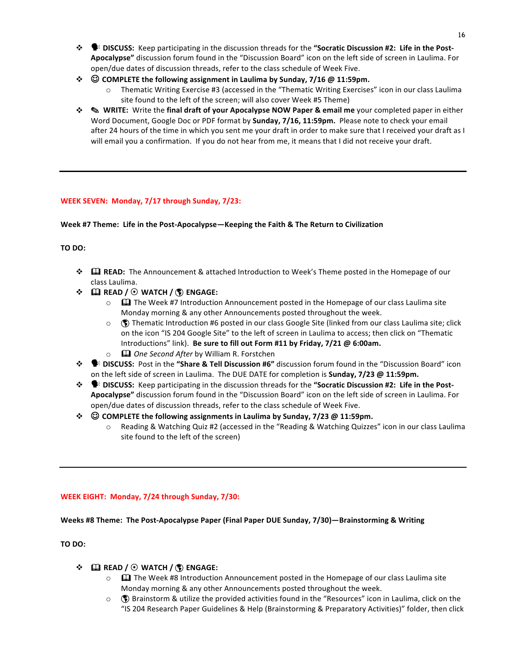- $\cdot \cdot$  **• DISCUSS:** Keep participating in the discussion threads for the "Socratic Discussion #2: Life in the Post-Apocalypse" discussion forum found in the "Discussion Board" icon on the left side of screen in Laulima. For open/due dates of discussion threads, refer to the class schedule of Week Five.
- **❖** © COMPLETE the following assignment in Laulima by Sunday, 7/16 @ 11:59pm.
	- $\circ$  Thematic Writing Exercise #3 (accessed in the "Thematic Writing Exercises" icon in our class Laulima site found to the left of the screen; will also cover Week #5 Theme)
- **❖ Surum WRITE:** Write the final draft of your Apocalypse NOW Paper & email me your completed paper in either Word Document, Google Doc or PDF format by **Sunday, 7/16, 11:59pm.** Please note to check your email after 24 hours of the time in which you sent me your draft in order to make sure that I received your draft as I will email you a confirmation. If you do not hear from me, it means that I did not receive your draft.

# **WEEK SEVEN: Monday, 7/17 through Sunday, 7/23:**

# Week #7 Theme: Life in the Post-Apocalypse—Keeping the Faith & The Return to Civilization

# **TO DO:**

- **<sup>\*</sup>**  $\Box$  **READ:** The Announcement & attached Introduction to Week's Theme posted in the Homepage of our class Laulima.
- $\cdot \cdot \cdot$  **EQ READ** /  $\odot$  WATCH /  $\circ \cdot \cdot$  **ENGAGE:** 
	- $\circ$   $\Box$  The Week #7 Introduction Announcement posted in the Homepage of our class Laulima site Monday morning & any other Announcements posted throughout the week.
	- $\circ$  ( $\circ$ ) Thematic Introduction #6 posted in our class Google Site (linked from our class Laulima site; click on the icon "IS 204 Google Site" to the left of screen in Laulima to access; then click on "Thematic Introductions" link). Be sure to fill out Form #11 by Friday, 7/21 @ 6:00am.
	- **EQ** *One Second After* by William R. Forstchen
- **\*** DISCUSS: Post in the "Share & Tell Discussion #6" discussion forum found in the "Discussion Board" icon on the left side of screen in Laulima. The DUE DATE for completion is **Sunday, 7/23 @ 11:59pm.**
- $\cdot\cdot\cdot$  **\*** DISCUSS: Keep participating in the discussion threads for the "Socratic Discussion #2: Life in the Post-Apocalypse" discussion forum found in the "Discussion Board" icon on the left side of screen in Laulima. For open/due dates of discussion threads, refer to the class schedule of Week Five.
- **❖** © COMPLETE the following assignments in Laulima by Sunday, 7/23 @ 11:59pm.
	- Reading & Watching Quiz #2 (accessed in the "Reading & Watching Quizzes" icon in our class Laulima site found to the left of the screen)

# **WEEK EIGHT: Monday, 7/24 through Sunday, 7/30:**

# Weeks #8 Theme: The Post-Apocalypse Paper (Final Paper DUE Sunday, 7/30)—Brainstorming & Writing

# **TO DO:**

# $\div$  **Ω** READ / ⊙ WATCH / ۞ ENGAGE:

- $\circ$   $\Box$  The Week #8 Introduction Announcement posted in the Homepage of our class Laulima site Monday morning & any other Announcements posted throughout the week.
- $\circ$  ( $\bullet$ ) Brainstorm & utilize the provided activities found in the "Resources" icon in Laulima, click on the "IS 204 Research Paper Guidelines & Help (Brainstorming & Preparatory Activities)" folder, then click